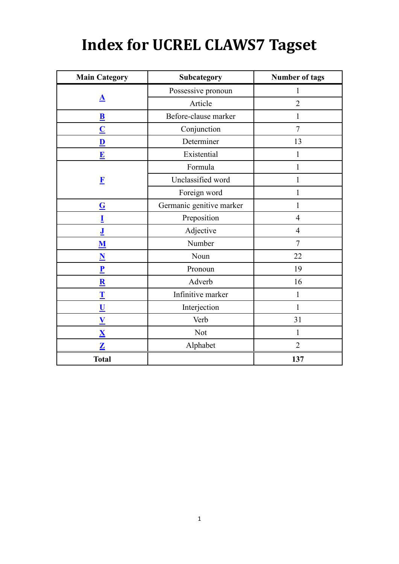## **Index for UCREL CLAWS7 Tagset**

| <b>Main Category</b>     | Subcategory                | <b>Number of tags</b> |
|--------------------------|----------------------------|-----------------------|
|                          | Possessive pronoun         | 1                     |
| ${\bf \underline A}$     | Article                    | $\overline{2}$        |
| $\overline{\mathbf{B}}$  | Before-clause marker       | 1                     |
| $\overline{\mathbf{C}}$  | Conjunction                | $\overline{7}$        |
| $\overline{\mathbf{D}}$  | Determiner                 | 13                    |
| $\mathbf{E}$             | Existential                | 1                     |
|                          | Formula                    |                       |
| $\mathbf{F}$             | Unclassified word          | 1                     |
|                          | Foreign word               |                       |
| $\underline{\mathbf{G}}$ | Germanic genitive marker   | 1                     |
| I                        | Preposition                | $\overline{4}$        |
| ${\bf J}$                | Adjective                  | $\overline{4}$        |
| ${\bf M}$                | Number                     | $\tau$                |
| $\overline{\mathbf{N}}$  | Noun                       | 22                    |
| $\mathbf{P}$             | Pronoun                    | 19                    |
| $\overline{\mathbf{R}}$  | Adverb                     | 16                    |
| $\mathbf T$              | Infinitive marker          | $\mathbf{1}$          |
| $\underline{\mathbf{U}}$ | Interjection               | $\mathbf{1}$          |
| $\underline{\mathbf{V}}$ | Verb                       | 31                    |
| $\overline{\mathbf{X}}$  | <b>Not</b>                 | $\mathbf{1}$          |
| $\overline{\mathbf{Z}}$  | $\overline{2}$<br>Alphabet |                       |
| <b>Total</b>             |                            | 137                   |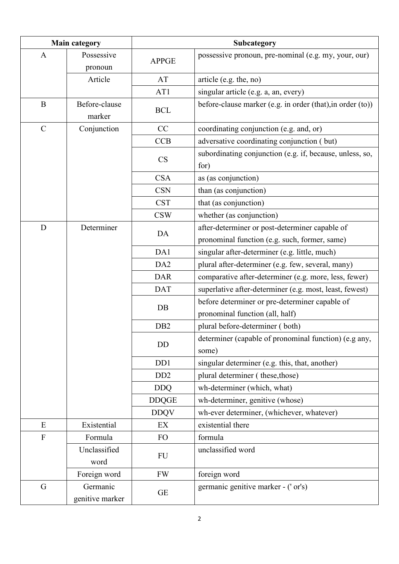<span id="page-1-6"></span><span id="page-1-5"></span><span id="page-1-4"></span><span id="page-1-3"></span><span id="page-1-2"></span><span id="page-1-1"></span><span id="page-1-0"></span>

| <b>Main category</b> |                             |                             | Subcategory                                                                       |  |
|----------------------|-----------------------------|-----------------------------|-----------------------------------------------------------------------------------|--|
| $\mathbf{A}$         | Possessive<br>pronoun       | <b>APPGE</b>                | possessive pronoun, pre-nominal (e.g. my, your, our)                              |  |
|                      | Article                     | AT                          | article (e.g. the, no)                                                            |  |
|                      |                             | AT1                         | singular article (e.g. a, an, every)                                              |  |
| $\bf{B}$             | Before-clause<br>marker     | <b>BCL</b>                  | before-clause marker (e.g. in order (that), in order (to))                        |  |
| $\mathcal{C}$        | Conjunction                 | CC                          | coordinating conjunction (e.g. and, or)                                           |  |
|                      |                             | <b>CCB</b>                  | adversative coordinating conjunction (but)                                        |  |
|                      |                             | <b>CS</b>                   | subordinating conjunction (e.g. if, because, unless, so,<br>for)                  |  |
|                      |                             | <b>CSA</b>                  | as (as conjunction)                                                               |  |
|                      |                             | <b>CSN</b>                  | than (as conjunction)                                                             |  |
|                      |                             | <b>CST</b>                  | that (as conjunction)                                                             |  |
|                      |                             | <b>CSW</b>                  | whether (as conjunction)                                                          |  |
| D                    | Determiner                  | DA                          | after-determiner or post-determiner capable of                                    |  |
|                      |                             |                             | pronominal function (e.g. such, former, same)                                     |  |
|                      |                             | DA1                         | singular after-determiner (e.g. little, much)                                     |  |
|                      |                             | DA <sub>2</sub>             | plural after-determiner (e.g. few, several, many)                                 |  |
|                      |                             | <b>DAR</b>                  | comparative after-determiner (e.g. more, less, fewer)                             |  |
|                      |                             | <b>DAT</b>                  | superlative after-determiner (e.g. most, least, fewest)                           |  |
|                      |                             | DB                          | before determiner or pre-determiner capable of<br>pronominal function (all, half) |  |
|                      |                             | D <sub>B2</sub>             | plural before-determiner (both)                                                   |  |
|                      |                             | DD                          | determiner (capable of pronominal function) (e.g any,<br>some)                    |  |
|                      |                             | D <sub>D</sub> 1            | singular determiner (e.g. this, that, another)                                    |  |
|                      |                             | D <sub>D</sub> <sub>2</sub> | plural determiner (these, those)                                                  |  |
|                      |                             | <b>DDQ</b>                  | wh-determiner (which, what)                                                       |  |
|                      |                             | <b>DDQGE</b>                | wh-determiner, genitive (whose)                                                   |  |
|                      |                             | <b>DDQV</b>                 | wh-ever determiner, (whichever, whatever)                                         |  |
| E                    | Existential                 | EX                          | existential there                                                                 |  |
| $\mathbf F$          | Formula                     | FO                          | formula                                                                           |  |
|                      | Unclassified<br>word        | FU                          | unclassified word                                                                 |  |
|                      | Foreign word                | <b>FW</b>                   | foreign word                                                                      |  |
| G                    | Germanic<br>genitive marker | <b>GE</b>                   | germanic genitive marker - ('or's)                                                |  |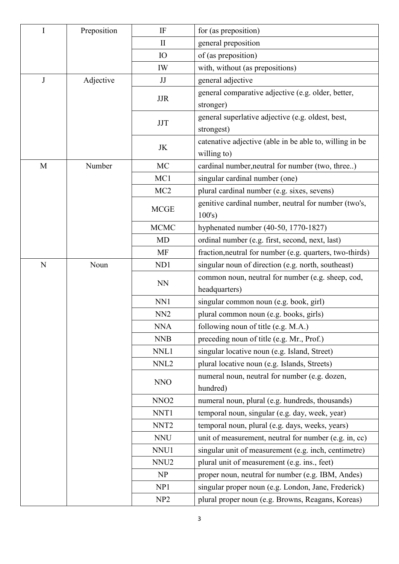<span id="page-2-3"></span><span id="page-2-2"></span><span id="page-2-1"></span><span id="page-2-0"></span>

| I           | Preposition  | IF                  | for (as preposition)                                            |
|-------------|--------------|---------------------|-----------------------------------------------------------------|
|             | $\mathbf{I}$ | general preposition |                                                                 |
|             |              | IO                  | of (as preposition)                                             |
|             |              | IW                  | with, without (as prepositions)                                 |
| J           | Adjective    | JJ                  | general adjective                                               |
|             |              | <b>JJR</b>          | general comparative adjective (e.g. older, better,              |
|             |              |                     | stronger)                                                       |
|             |              | <b>JJT</b>          | general superlative adjective (e.g. oldest, best,<br>strongest) |
|             |              |                     | catenative adjective (able in be able to, willing in be         |
|             |              | <b>JK</b>           | willing to)                                                     |
| M           | Number       | MC                  | cardinal number, neutral for number (two, three)                |
|             |              | MC1                 | singular cardinal number (one)                                  |
|             |              | MC <sub>2</sub>     | plural cardinal number (e.g. sixes, sevens)                     |
|             |              | <b>MCGE</b>         | genitive cardinal number, neutral for number (two's,<br>100's)  |
|             |              | <b>MCMC</b>         | hyphenated number (40-50, 1770-1827)                            |
|             |              | <b>MD</b>           | ordinal number (e.g. first, second, next, last)                 |
|             |              | <b>MF</b>           | fraction, neutral for number (e.g. quarters, two-thirds)        |
| $\mathbf N$ | Noun         | ND1                 | singular noun of direction (e.g. north, southeast)              |
|             |              | <b>NN</b>           | common noun, neutral for number (e.g. sheep, cod,               |
|             |              |                     | headquarters)                                                   |
|             |              | NN1                 | singular common noun (e.g. book, girl)                          |
|             |              | NN <sub>2</sub>     | plural common noun (e.g. books, girls)                          |
|             |              | NNA                 | following noun of title (e.g. M.A.)                             |
|             |              | <b>NNB</b>          | preceding noun of title (e.g. Mr., Prof.)                       |
|             |              | NNL1                | singular locative noun (e.g. Island, Street)                    |
|             |              | NNL <sub>2</sub>    | plural locative noun (e.g. Islands, Streets)                    |
|             |              | <b>NNO</b>          | numeral noun, neutral for number (e.g. dozen,<br>hundred)       |
|             |              | NNO <sub>2</sub>    | numeral noun, plural (e.g. hundreds, thousands)                 |
|             |              | NNT1                | temporal noun, singular (e.g. day, week, year)                  |
|             |              | NNT <sub>2</sub>    | temporal noun, plural (e.g. days, weeks, years)                 |
|             |              | <b>NNU</b>          | unit of measurement, neutral for number (e.g. in, cc)           |
|             |              | NNU1                | singular unit of measurement (e.g. inch, centimetre)            |
|             |              | NNU <sub>2</sub>    | plural unit of measurement (e.g. ins., feet)                    |
|             |              | NP                  | proper noun, neutral for number (e.g. IBM, Andes)               |
|             |              | NP1                 | singular proper noun (e.g. London, Jane, Frederick)             |
|             |              | NP <sub>2</sub>     | plural proper noun (e.g. Browns, Reagans, Koreas)               |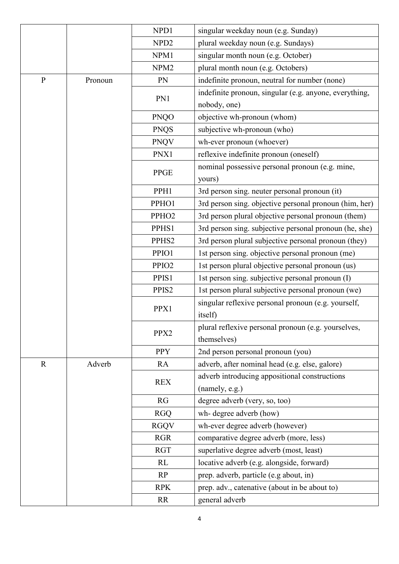<span id="page-3-1"></span><span id="page-3-0"></span>

|              |         | NPD1              | singular weekday noun (e.g. Sunday)                                |
|--------------|---------|-------------------|--------------------------------------------------------------------|
|              |         | NPD <sub>2</sub>  | plural weekday noun (e.g. Sundays)                                 |
|              |         | NPM1              | singular month noun (e.g. October)                                 |
|              |         | NPM <sub>2</sub>  | plural month noun (e.g. Octobers)                                  |
| $\mathbf{P}$ | Pronoun | PN                | indefinite pronoun, neutral for number (none)                      |
|              |         |                   | indefinite pronoun, singular (e.g. anyone, everything,             |
|              |         | PN1               | nobody, one)                                                       |
|              |         | <b>PNQO</b>       | objective wh-pronoun (whom)                                        |
|              |         | <b>PNQS</b>       | subjective wh-pronoun (who)                                        |
|              |         | <b>PNQV</b>       | wh-ever pronoun (whoever)                                          |
|              |         | PNX1              | reflexive indefinite pronoun (oneself)                             |
|              |         | <b>PPGE</b>       | nominal possessive personal pronoun (e.g. mine,<br>yours)          |
|              |         | PPH1              | 3rd person sing. neuter personal pronoun (it)                      |
|              |         | PPHO1             | 3rd person sing. objective personal pronoun (him, her)             |
|              |         | PPHO <sub>2</sub> | 3rd person plural objective personal pronoun (them)                |
|              |         | PPHS1             | 3rd person sing. subjective personal pronoun (he, she)             |
|              |         | PPHS <sub>2</sub> | 3rd person plural subjective personal pronoun (they)               |
|              |         | PPIO1             | 1st person sing. objective personal pronoun (me)                   |
|              |         | PPIO <sub>2</sub> | 1st person plural objective personal pronoun (us)                  |
|              |         | PPIS1             | 1st person sing. subjective personal pronoun (I)                   |
|              |         | PPIS2             | 1st person plural subjective personal pronoun (we)                 |
|              |         | PPX1              | singular reflexive personal pronoun (e.g. yourself,<br>itself)     |
|              |         | PPX2              | plural reflexive personal pronoun (e.g. yourselves,<br>themselves) |
|              |         | <b>PPY</b>        | 2nd person personal pronoun (you)                                  |
| $\mathbf R$  | Adverb  | RA                | adverb, after nominal head (e.g. else, galore)                     |
|              |         | <b>REX</b>        | adverb introducing appositional constructions<br>(namely, e.g.)    |
|              |         | RG                | degree adverb (very, so, too)                                      |
|              |         | <b>RGQ</b>        | wh- degree adverb (how)                                            |
|              |         | <b>RGQV</b>       | wh-ever degree adverb (however)                                    |
|              |         | <b>RGR</b>        | comparative degree adverb (more, less)                             |
|              |         | <b>RGT</b>        | superlative degree adverb (most, least)                            |
|              |         | RL                | locative adverb (e.g. alongside, forward)                          |
|              |         | RP                | prep. adverb, particle (e.g about, in)                             |
|              |         | <b>RPK</b>        | prep. adv., catenative (about in be about to)                      |
|              |         | <b>RR</b>         | general adverb                                                     |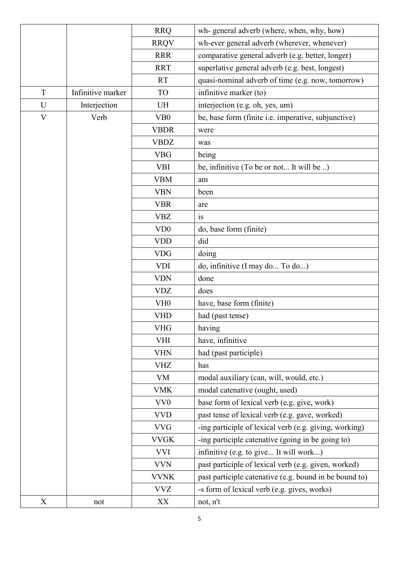<span id="page-4-3"></span><span id="page-4-2"></span><span id="page-4-1"></span><span id="page-4-0"></span>

|             |                   | <b>RRQ</b>                  | wh- general adverb (where, when, why, how)             |
|-------------|-------------------|-----------------------------|--------------------------------------------------------|
|             |                   | <b>RRQV</b>                 | wh-ever general adverb (wherever, whenever)            |
|             |                   | <b>RRR</b>                  | comparative general adverb (e.g. better, longer)       |
|             |                   | <b>RRT</b>                  | superlative general adverb (e.g. best, longest)        |
|             |                   | <b>RT</b>                   | quasi-nominal adverb of time (e.g. now, tomorrow)      |
| T           | Infinitive marker | <b>TO</b>                   | infinitive marker (to)                                 |
| U           | Interjection      | UH                          | interjection (e.g. oh, yes, um)                        |
| $\mathbf V$ | Verb              | V <sub>B</sub> 0            | be, base form (finite i.e. imperative, subjunctive)    |
|             |                   | <b>VBDR</b>                 | were                                                   |
|             |                   | <b>VBDZ</b>                 | was                                                    |
|             |                   | <b>VBG</b>                  | being                                                  |
|             |                   | <b>VBI</b>                  | be, infinitive (To be or not It will be )              |
|             |                   | <b>VBM</b>                  | am                                                     |
|             |                   | <b>VBN</b>                  | been                                                   |
|             |                   | <b>VBR</b>                  | are                                                    |
|             |                   | <b>VBZ</b>                  | is                                                     |
|             |                   | V <sub>D</sub> <sub>0</sub> | do, base form (finite)                                 |
|             |                   | <b>VDD</b>                  | did                                                    |
|             |                   | <b>VDG</b>                  | doing                                                  |
|             |                   | <b>VDI</b>                  | do, infinitive (I may do To do)                        |
|             |                   | <b>VDN</b>                  | done                                                   |
|             |                   | <b>VDZ</b>                  | does                                                   |
|             |                   | VH <sub>0</sub>             | have, base form (finite)                               |
|             |                   | <b>VHD</b>                  | had (past tense)                                       |
|             |                   | VHG                         | having                                                 |
|             |                   | <b>VHI</b>                  | have, infinitive                                       |
|             |                   | <b>VHN</b>                  | had (past participle)                                  |
|             |                   | <b>VHZ</b>                  | has                                                    |
|             |                   | <b>VM</b>                   | modal auxiliary (can, will, would, etc.)               |
|             |                   | <b>VMK</b>                  | modal catenative (ought, used)                         |
|             |                   | VV <sub>0</sub>             | base form of lexical verb (e.g. give, work)            |
|             |                   | <b>VVD</b>                  | past tense of lexical verb (e.g. gave, worked)         |
|             |                   | <b>VVG</b>                  | -ing participle of lexical verb (e.g. giving, working) |
|             |                   | <b>VVGK</b>                 | -ing participle catenative (going in be going to)      |
|             |                   | <b>VVI</b>                  | infinitive (e.g. to give It will work)                 |
|             |                   | <b>VVN</b>                  | past participle of lexical verb (e.g. given, worked)   |
|             |                   | <b>VVNK</b>                 | past participle catenative (e.g. bound in be bound to) |
|             |                   | <b>VVZ</b>                  | -s form of lexical verb (e.g. gives, works)            |
| X           | not               | XX                          | not, n't                                               |